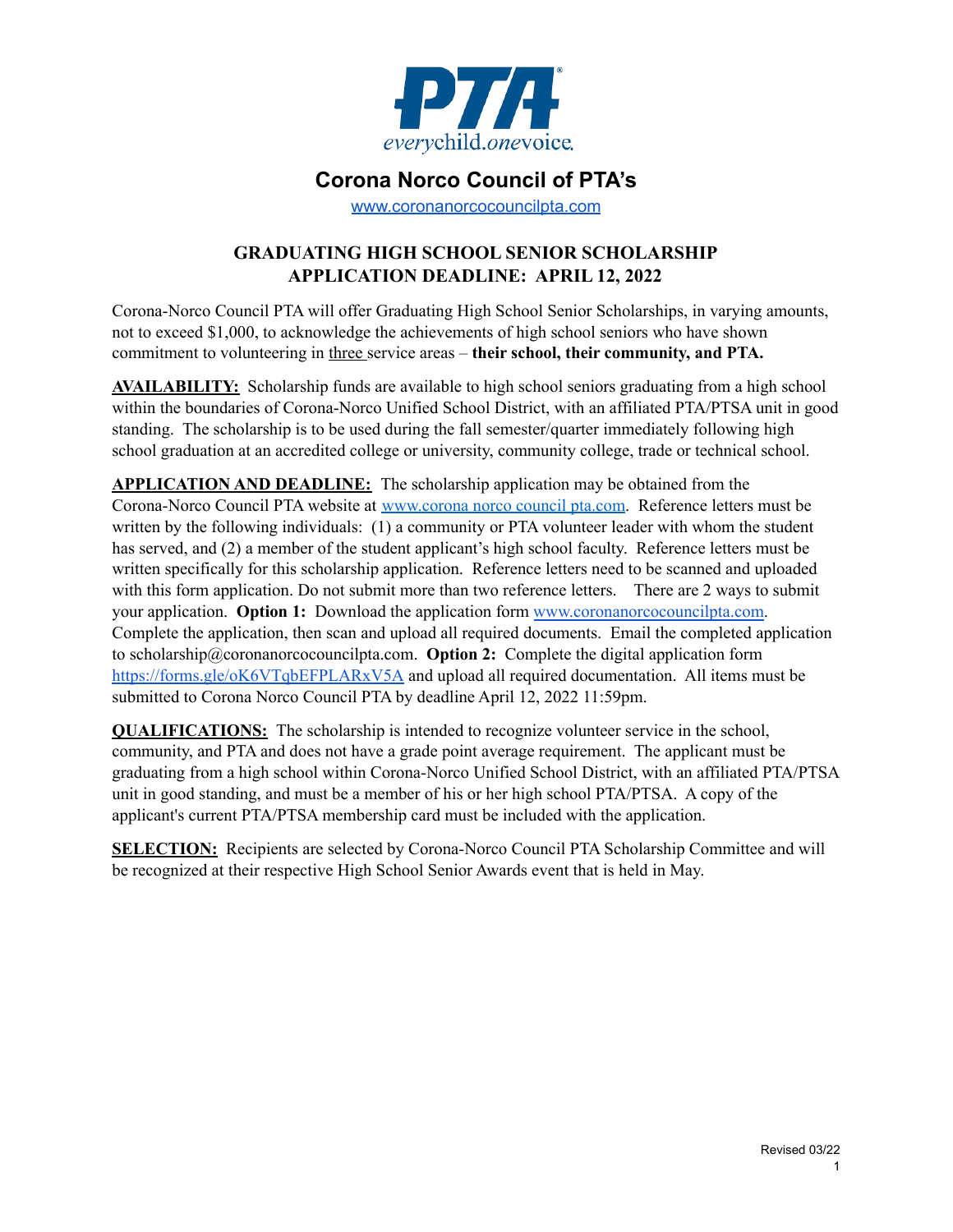

### **Corona Norco Council of PTA's**

www.coronanorcocouncilpta.com

### **GRADUATING HIGH SCHOOL SENIOR SCHOLARSHIP APPLICATION DEADLINE: APRIL 12, 2022**

Corona-Norco Council PTA will offer Graduating High School Senior Scholarships, in varying amounts, not to exceed \$1,000, to acknowledge the achievements of high school seniors who have shown commitment to volunteering in three service areas – **their school, their community, and PTA.**

**AVAILABILITY:** Scholarship funds are available to high school seniors graduating from a high school within the boundaries of Corona-Norco Unified School District, with an affiliated PTA/PTSA unit in good standing. The scholarship is to be used during the fall semester/quarter immediately following high school graduation at an accredited college or university, community college, trade or technical school.

**APPLICATION AND DEADLINE:** The scholarship application may be obtained from the Corona-Norco Council PTA website at www.corona norco council pta.com. Reference letters must be written by the following individuals: (1) a community or PTA volunteer leader with whom the student has served, and (2) a member of the student applicant's high school faculty. Reference letters must be written specifically for this scholarship application. Reference letters need to be scanned and uploaded with this form application. Do not submit more than two reference letters. There are 2 ways to submit your application. **Option 1:** Download the application form www.coronanorcocouncilpta.com. Complete the application, then scan and upload all required documents. Email the completed application to scholarship@coronanorcocouncilpta.com. **Option 2:** Complete the digital application form https://forms.gle/oK6VTqbEFPLARxV5A and upload all required documentation. All items must be submitted to Corona Norco Council PTA by deadline April 12, 2022 11:59pm.

**QUALIFICATIONS:** The scholarship is intended to recognize volunteer service in the school, community, and PTA and does not have a grade point average requirement. The applicant must be graduating from a high school within Corona-Norco Unified School District, with an affiliated PTA/PTSA unit in good standing, and must be a member of his or her high school PTA/PTSA. A copy of the applicant's current PTA/PTSA membership card must be included with the application.

**SELECTION:** Recipients are selected by Corona-Norco Council PTA Scholarship Committee and will be recognized at their respective High School Senior Awards event that is held in May.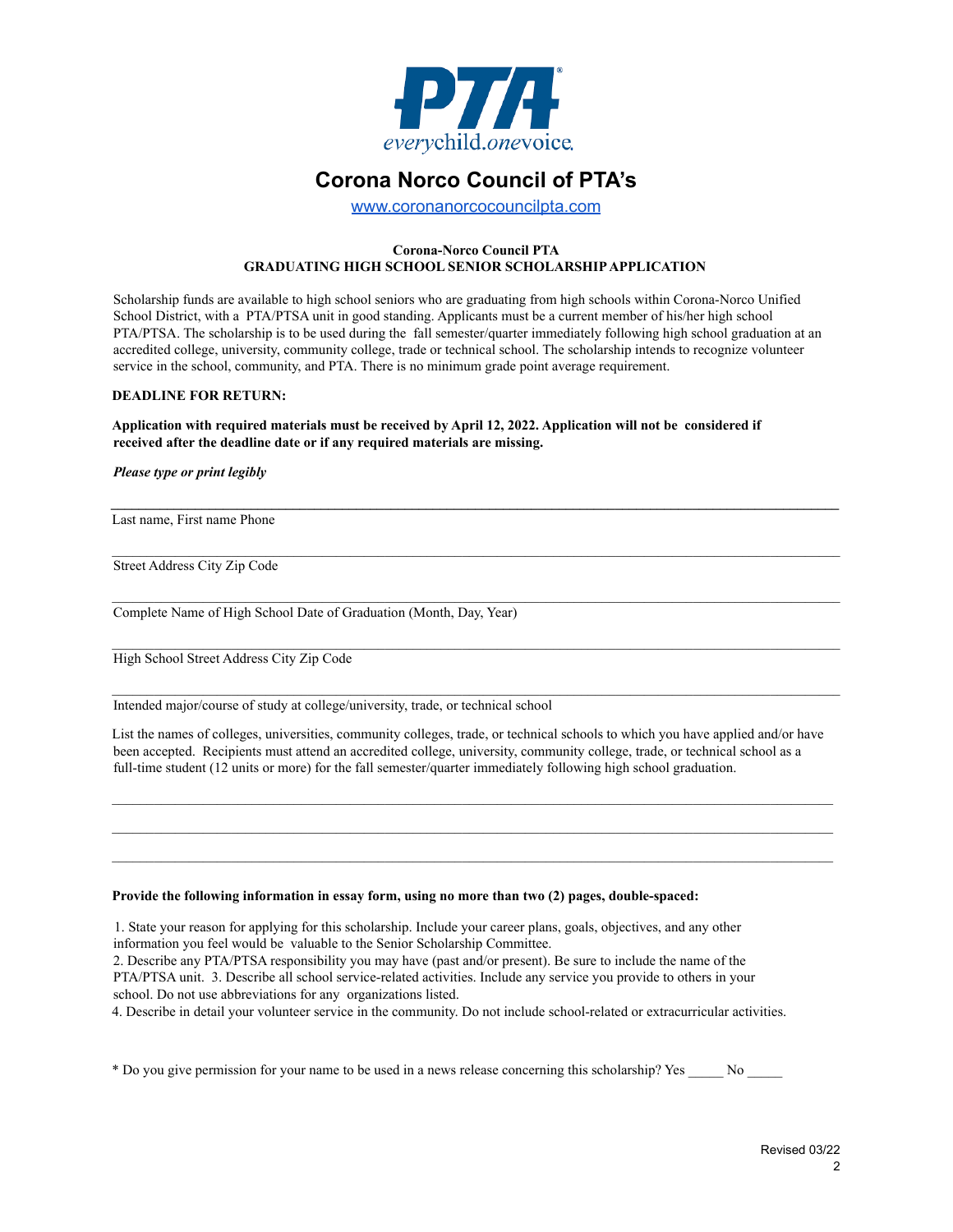

## **Corona Norco Council of PTA's**

www.coronanorcocouncilpta.com

#### **Corona-Norco Council PTA GRADUATING HIGH SCHOOL SENIOR SCHOLARSHIP APPLICATION**

Scholarship funds are available to high school seniors who are graduating from high schools within Corona-Norco Unified School District, with a PTA/PTSA unit in good standing. Applicants must be a current member of his/her high school PTA/PTSA. The scholarship is to be used during the fall semester/quarter immediately following high school graduation at an accredited college, university, community college, trade or technical school. The scholarship intends to recognize volunteer service in the school, community, and PTA. There is no minimum grade point average requirement.

### **DEADLINE FOR RETURN:**

**Application with required materials must be received by April 12, 2022. Application will not be considered if received after the deadline date or if any required materials are missing.**

*Please type or print legibly*

Last name, First name Phone

Street Address City Zip Code

Complete Name of High School Date of Graduation (Month, Day, Year)

High School Street Address City Zip Code

Intended major/course of study at college/university, trade, or technical school

List the names of colleges, universities, community colleges, trade, or technical schools to which you have applied and/or have been accepted. Recipients must attend an accredited college, university, community college, trade, or technical school as a full-time student (12 units or more) for the fall semester/quarter immediately following high school graduation.

 $\mathcal{L}_\text{max}$ 

\_\_\_\_\_\_\_\_\_\_\_\_\_\_\_\_\_\_\_\_\_\_\_\_\_\_\_\_\_\_\_\_\_\_\_\_\_\_\_\_\_\_\_\_\_\_\_\_\_\_\_\_\_\_\_\_\_\_\_\_\_\_\_\_\_\_\_\_\_\_\_\_\_\_\_\_\_\_\_\_\_\_\_\_\_\_\_\_\_\_\_\_\_\_\_\_\_\_\_\_\_\_\_\_

#### **Provide the following information in essay form, using no more than two (2) pages, double-spaced:**

1. State your reason for applying for this scholarship. Include your career plans, goals, objectives, and any other information you feel would be valuable to the Senior Scholarship Committee.

2. Describe any PTA/PTSA responsibility you may have (past and/or present). Be sure to include the name of the PTA/PTSA unit. 3. Describe all school service-related activities. Include any service you provide to others in your school. Do not use abbreviations for any organizations listed.

4. Describe in detail your volunteer service in the community. Do not include school-related or extracurricular activities.

\* Do you give permission for your name to be used in a news release concerning this scholarship? Yes \_\_\_\_\_ No \_\_\_\_\_